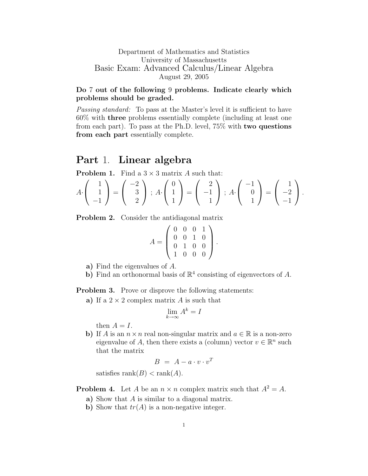## Department of Mathematics and Statistics University of Massachusetts Basic Exam: Advanced Calculus/Linear Algebra August 29, 2005

## Do 7 out of the following 9 problems. Indicate clearly which problems should be graded.

Passing standard: To pass at the Master's level it is sufficient to have 60% with three problems essentially complete (including at least one from each part). To pass at the Ph.D. level, 75% with two questions from each part essentially complete.

## Part 1. Linear algebra

**Problem 1.** Find a  $3 \times 3$  matrix A such that:

$$
A \cdot \begin{pmatrix} 1 \\ 1 \\ -1 \end{pmatrix} = \begin{pmatrix} -2 \\ 3 \\ 2 \end{pmatrix}; A \cdot \begin{pmatrix} 0 \\ 1 \\ 1 \end{pmatrix} = \begin{pmatrix} 2 \\ -1 \\ 1 \end{pmatrix}; A \cdot \begin{pmatrix} -1 \\ 0 \\ 1 \end{pmatrix} = \begin{pmatrix} 1 \\ -2 \\ -1 \end{pmatrix}.
$$

Problem 2. Consider the antidiagonal matrix

$$
A = \left(\begin{array}{rrr} 0 & 0 & 0 & 1 \\ 0 & 0 & 1 & 0 \\ 0 & 1 & 0 & 0 \\ 1 & 0 & 0 & 0 \end{array}\right).
$$

- a) Find the eigenvalues of A.
- b) Find an orthonormal basis of  $\mathbb{R}^4$  consisting of eigenvectors of A.

Problem 3. Prove or disprove the following statements:

a) If a  $2 \times 2$  complex matrix A is such that

$$
\lim_{k \to \infty} A^k = I
$$

then  $A = I$ .

b) If A is an  $n \times n$  real non-singular matrix and  $a \in \mathbb{R}$  is a non-zero eigenvalue of A, then there exists a (column) vector  $v \in \mathbb{R}^n$  such that the matrix

$$
B = A - a \cdot v \cdot v^T
$$

satisfies  $rank(B) < rank(A)$ .

**Problem 4.** Let A be an  $n \times n$  complex matrix such that  $A^2 = A$ .

- a) Show that A is similar to a diagonal matrix.
- b) Show that  $tr(A)$  is a non-negative integer.